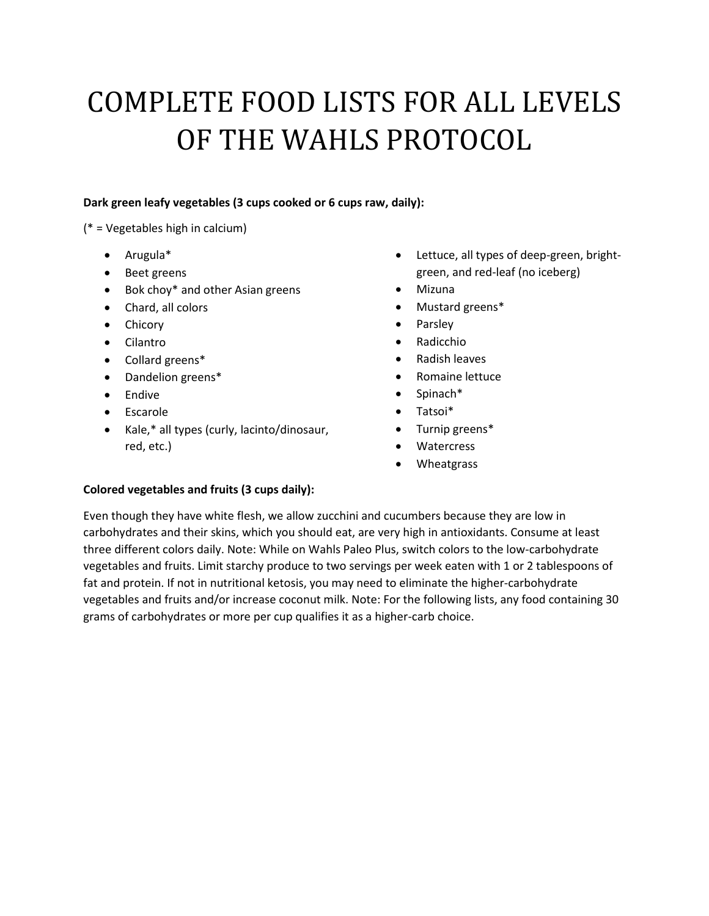# COMPLETE FOOD LISTS FOR ALL LEVELS OF THE WAHLS PROTOCOL

## **Dark green leafy vegetables (3 cups cooked or 6 cups raw, daily):**

(\* = Vegetables high in calcium)

- Arugula\*
- Beet greens
- Bok choy\* and other Asian greens
- Chard, all colors
- Chicory
- Cilantro
- Collard greens\*
- Dandelion greens\*
- Endive
- Escarole
- Kale,\* all types (curly, lacinto/dinosaur, red, etc.)
- Lettuce, all types of deep-green, brightgreen, and red-leaf (no iceberg)
- Mizuna
- Mustard greens\*
- Parsley
- Radicchio
- Radish leaves
- Romaine lettuce
- Spinach\*
- Tatsoi\*
- Turnip greens\*
- Watercress
- Wheatgrass

#### **Colored vegetables and fruits (3 cups daily):**

Even though they have white flesh, we allow zucchini and cucumbers because they are low in carbohydrates and their skins, which you should eat, are very high in antioxidants. Consume at least three different colors daily. Note: While on Wahls Paleo Plus, switch colors to the low-carbohydrate vegetables and fruits. Limit starchy produce to two servings per week eaten with 1 or 2 tablespoons of fat and protein. If not in nutritional ketosis, you may need to eliminate the higher-carbohydrate vegetables and fruits and/or increase coconut milk. Note: For the following lists, any food containing 30 grams of carbohydrates or more per cup qualifies it as a higher-carb choice.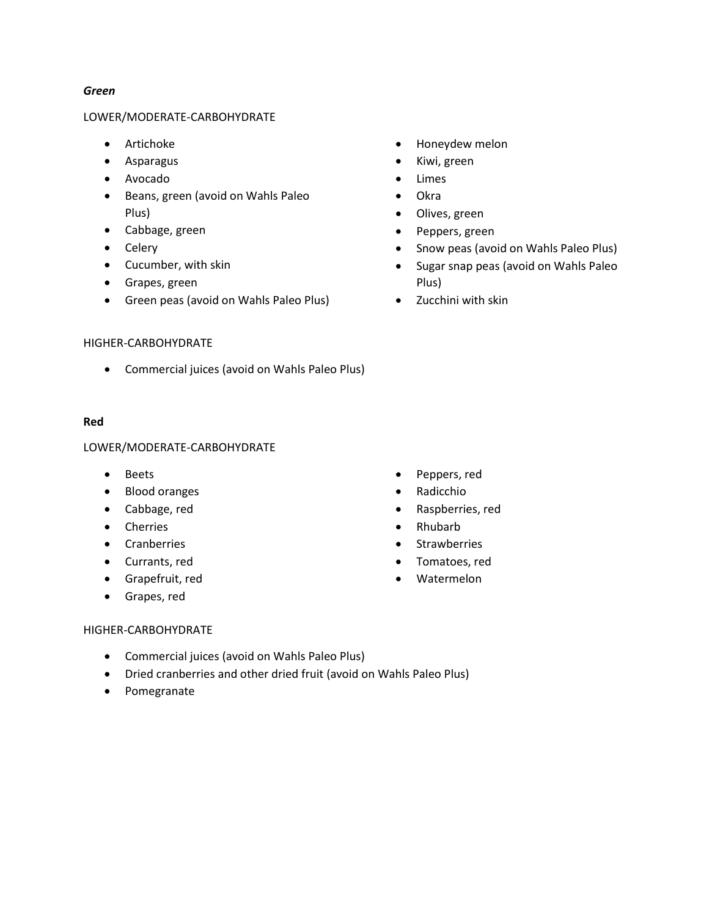#### *Green*

#### LOWER/MODERATE-CARBOHYDRATE

- Artichoke
- Asparagus
- Avocado
- **•** Beans, green (avoid on Wahls Paleo Plus)
- Cabbage, green
- Celery
- Cucumber, with skin
- Grapes, green
- Green peas (avoid on Wahls Paleo Plus)
- Honeydew melon
- Kiwi, green
- Limes
- Okra
- Olives, green
- Peppers, green
- Snow peas (avoid on Wahls Paleo Plus)
- Sugar snap peas (avoid on Wahls Paleo Plus)
- Zucchini with skin

#### HIGHER-CARBOHYDRATE

Commercial juices (avoid on Wahls Paleo Plus)

#### **Red**

#### LOWER/MODERATE-CARBOHYDRATE

- Beets
- Blood oranges
- Cabbage, red
- Cherries
- Cranberries
- Currants, red
- Grapefruit, red
- Grapes, red
- Peppers, red
- Radicchio
- Raspberries, red
- Rhubarb
- **Strawberries**
- Tomatoes, red
- Watermelon

#### HIGHER-CARBOHYDRATE

- Commercial juices (avoid on Wahls Paleo Plus)
- Dried cranberries and other dried fruit (avoid on Wahls Paleo Plus)
- Pomegranate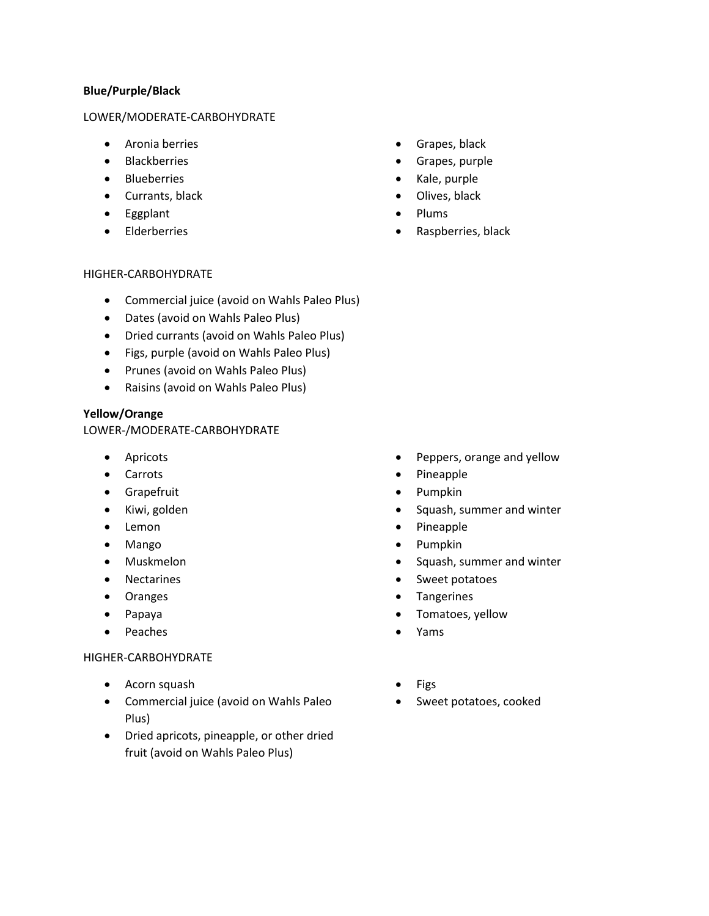#### **Blue/Purple/Black**

#### LOWER/MODERATE-CARBOHYDRATE

- Aronia berries
- Blackberries
- **•** Blueberries
- Currants, black
- Eggplant
- Elderberries
- **•** Grapes, black
- Grapes, purple
- Kale, purple
- Olives, black
- Plums
- Raspberries, black

#### HIGHER-CARBOHYDRATE

- Commercial juice (avoid on Wahls Paleo Plus)
- Dates (avoid on Wahls Paleo Plus)
- Dried currants (avoid on Wahls Paleo Plus)
- Figs, purple (avoid on Wahls Paleo Plus)
- Prunes (avoid on Wahls Paleo Plus)
- Raisins (avoid on Wahls Paleo Plus)

#### **Yellow/Orange**

#### LOWER-/MODERATE-CARBOHYDRATE

- Apricots
- Carrots
- Grapefruit
- Kiwi, golden
- Lemon
- Mango
- Muskmelon
- Nectarines
- Oranges
- Papaya
- Peaches

#### HIGHER-CARBOHYDRATE

- Acorn squash
- Commercial juice (avoid on Wahls Paleo Plus)
- Dried apricots, pineapple, or other dried fruit (avoid on Wahls Paleo Plus)
- Peppers, orange and yellow
- Pineapple
- Pumpkin
- Squash, summer and winter
- Pineapple
- Pumpkin
- Squash, summer and winter
- Sweet potatoes
- Tangerines
- Tomatoes, yellow
- Yams
- Figs
- Sweet potatoes, cooked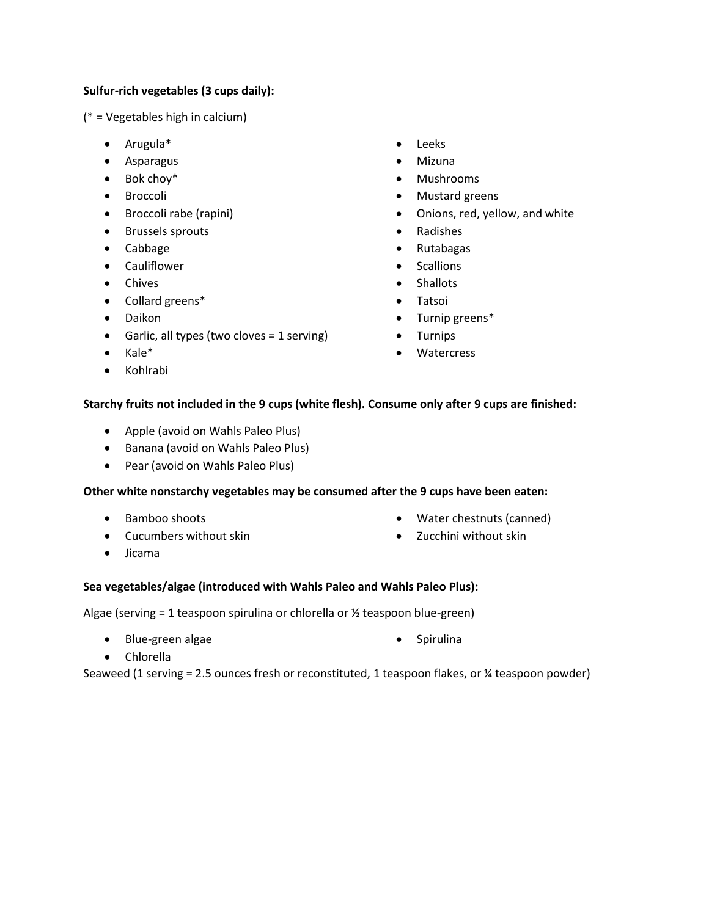## **Sulfur-rich vegetables (3 cups daily):**

(\* = Vegetables high in calcium)

- Arugula\*
- Asparagus
- Bok choy\*
- **•** Broccoli
- **•** Broccoli rabe (rapini)
- **•** Brussels sprouts
- Cabbage
- Cauliflower
- Chives
- Collard greens\*
- Daikon
- Garlic, all types (two cloves = 1 serving)
- Kale\*
- Kohlrabi
- Leeks
- Mizuna
- Mushrooms
- Mustard greens
- Onions, red, yellow, and white
- Radishes
- Rutabagas
- **Scallions**
- Shallots
- Tatsoi
- Turnip greens\*
- Turnips
- Watercress

#### **Starchy fruits not included in the 9 cups (white flesh). Consume only after 9 cups are finished:**

- Apple (avoid on Wahls Paleo Plus)
- Banana (avoid on Wahls Paleo Plus)
- Pear (avoid on Wahls Paleo Plus)

#### **Other white nonstarchy vegetables may be consumed after the 9 cups have been eaten:**

- Bamboo shoots
- Cucumbers without skin
- Jicama
- Water chestnuts (canned)
- Zucchini without skin
- 

#### **Sea vegetables/algae (introduced with Wahls Paleo and Wahls Paleo Plus):**

Algae (serving = 1 teaspoon spirulina or chlorella or  $\frac{1}{2}$  teaspoon blue-green)

- Blue-green algae
- Spirulina

Chlorella

Seaweed (1 serving = 2.5 ounces fresh or reconstituted, 1 teaspoon flakes, or ¼ teaspoon powder)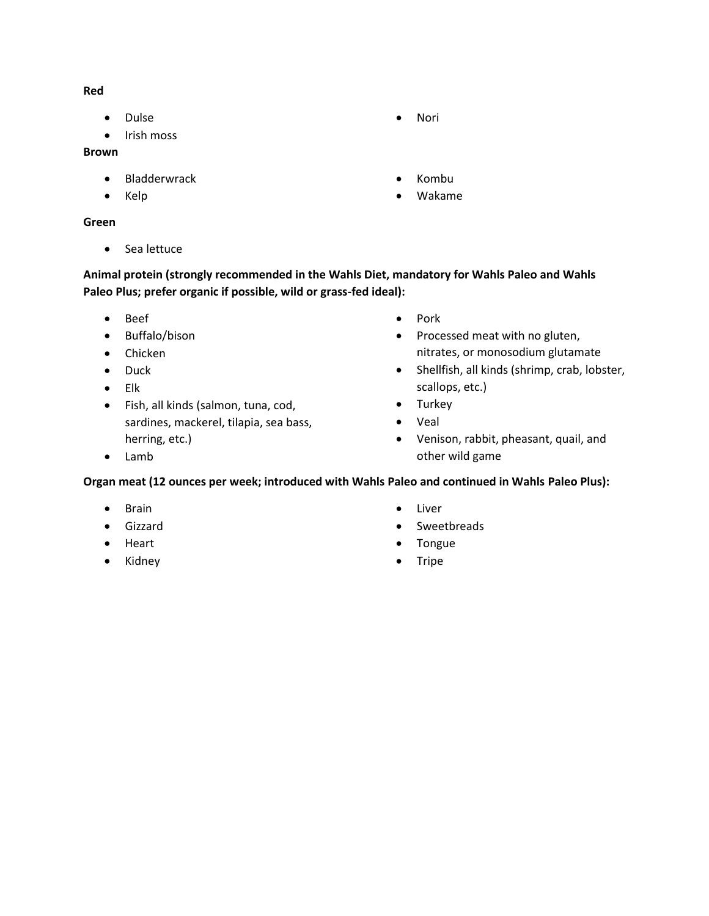**Red**

- Dulse
- Irish moss

## **Brown**

- Bladderwrack
- Kelp

## **Green**

• Sea lettuce

# **Animal protein (strongly recommended in the Wahls Diet, mandatory for Wahls Paleo and Wahls Paleo Plus; prefer organic if possible, wild or grass-fed ideal):**

- Beef
- Buffalo/bison
- Chicken
- Duck
- Elk
- Fish, all kinds (salmon, tuna, cod, sardines, mackerel, tilapia, sea bass, herring, etc.)
- Pork
- Processed meat with no gluten, nitrates, or monosodium glutamate
- Shellfish, all kinds (shrimp, crab, lobster, scallops, etc.)
- Turkey
- Veal
- Venison, rabbit, pheasant, quail, and other wild game

Lamb

# **Organ meat (12 ounces per week; introduced with Wahls Paleo and continued in Wahls Paleo Plus):**

- Brain
- Gizzard
- Heart
- Kidney
- Liver
- Sweetbreads
- Tongue
- Tripe
- Nori
- Kombu
- Wakame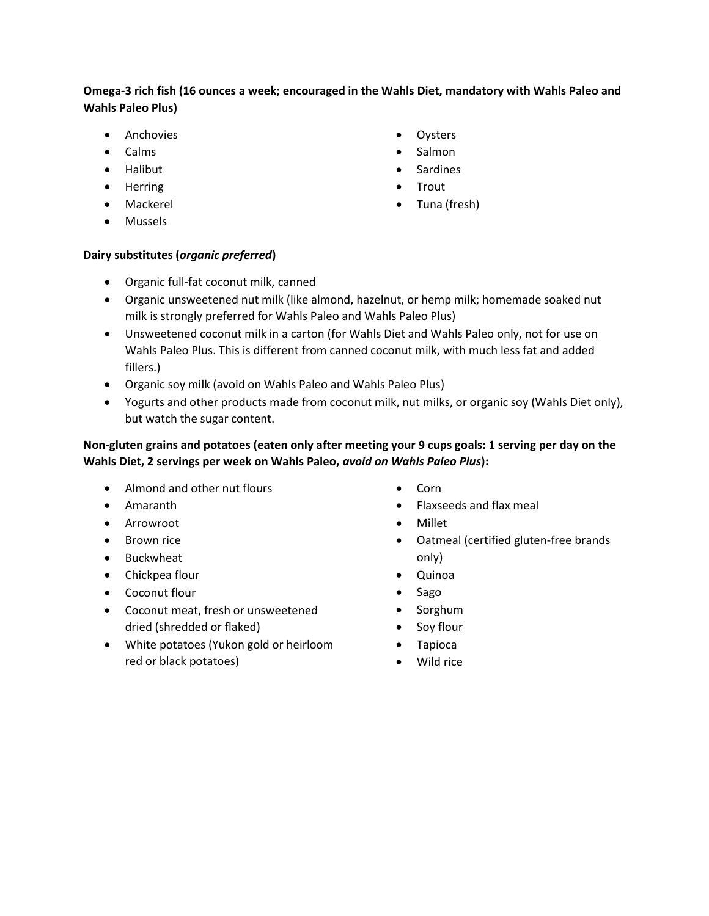# **Omega-3 rich fish (16 ounces a week; encouraged in the Wahls Diet, mandatory with Wahls Paleo and Wahls Paleo Plus)**

- Anchovies
- Calms
- Halibut
- Herring
- Mackerel
- Mussels
- Oysters
- Salmon
- Sardines
- Trout
- Tuna (fresh)

## **Dairy substitutes (***organic preferred***)**

- Organic full-fat coconut milk, canned
- Organic unsweetened nut milk (like almond, hazelnut, or hemp milk; homemade soaked nut milk is strongly preferred for Wahls Paleo and Wahls Paleo Plus)
- Unsweetened coconut milk in a carton (for Wahls Diet and Wahls Paleo only, not for use on Wahls Paleo Plus. This is different from canned coconut milk, with much less fat and added fillers.)
- Organic soy milk (avoid on Wahls Paleo and Wahls Paleo Plus)
- Yogurts and other products made from coconut milk, nut milks, or organic soy (Wahls Diet only), but watch the sugar content.

# **Non-gluten grains and potatoes (eaten only after meeting your 9 cups goals: 1 serving per day on the Wahls Diet, 2 servings per week on Wahls Paleo,** *avoid on Wahls Paleo Plus***):**

- Almond and other nut flours
- Amaranth
- Arrowroot
- Brown rice
- Buckwheat
- Chickpea flour
- Coconut flour
- Coconut meat, fresh or unsweetened dried (shredded or flaked)
- White potatoes (Yukon gold or heirloom red or black potatoes)
- Corn
- Flaxseeds and flax meal
- Millet
- Oatmeal (certified gluten-free brands only)
- Quinoa
- Sago
- Sorghum
- Soy flour
- Tapioca
- Wild rice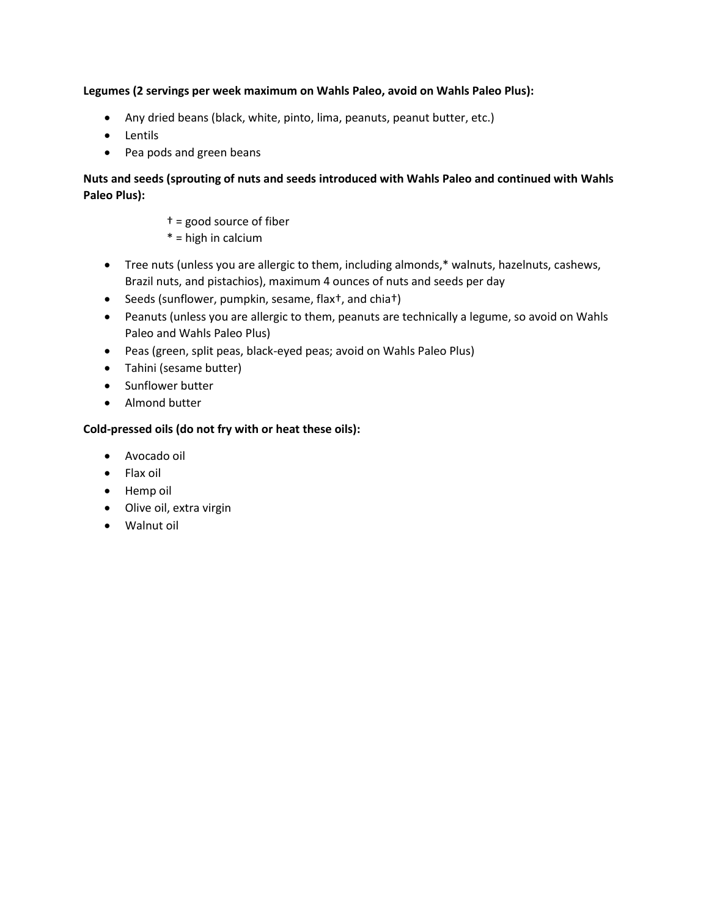## **Legumes (2 servings per week maximum on Wahls Paleo, avoid on Wahls Paleo Plus):**

- Any dried beans (black, white, pinto, lima, peanuts, peanut butter, etc.)
- Lentils
- Pea pods and green beans

# **Nuts and seeds (sprouting of nuts and seeds introduced with Wahls Paleo and continued with Wahls Paleo Plus):**

- † = good source of fiber
- $*$  = high in calcium
- Tree nuts (unless you are allergic to them, including almonds,\* walnuts, hazelnuts, cashews, Brazil nuts, and pistachios), maximum 4 ounces of nuts and seeds per day
- Seeds (sunflower, pumpkin, sesame, flax<sup>†</sup>, and chia<sup>†</sup>)
- Peanuts (unless you are allergic to them, peanuts are technically a legume, so avoid on Wahls Paleo and Wahls Paleo Plus)
- Peas (green, split peas, black-eyed peas; avoid on Wahls Paleo Plus)
- Tahini (sesame butter)
- Sunflower butter
- Almond butter

# **Cold-pressed oils (do not fry with or heat these oils):**

- Avocado oil
- Flax oil
- Hemp oil
- Olive oil, extra virgin
- Walnut oil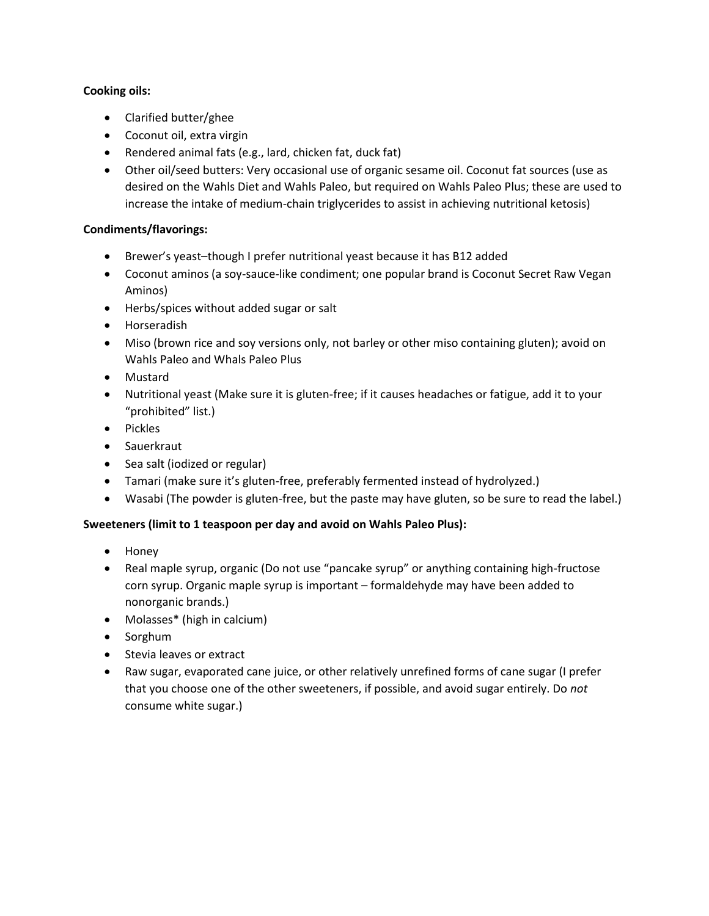## **Cooking oils:**

- Clarified butter/ghee
- Coconut oil, extra virgin
- Rendered animal fats (e.g., lard, chicken fat, duck fat)
- Other oil/seed butters: Very occasional use of organic sesame oil. Coconut fat sources (use as desired on the Wahls Diet and Wahls Paleo, but required on Wahls Paleo Plus; these are used to increase the intake of medium-chain triglycerides to assist in achieving nutritional ketosis)

## **Condiments/flavorings:**

- Brewer's yeast–though I prefer nutritional yeast because it has B12 added
- Coconut aminos (a soy-sauce-like condiment; one popular brand is Coconut Secret Raw Vegan Aminos)
- Herbs/spices without added sugar or salt
- **•** Horseradish
- Miso (brown rice and soy versions only, not barley or other miso containing gluten); avoid on Wahls Paleo and Whals Paleo Plus
- Mustard
- Nutritional yeast (Make sure it is gluten-free; if it causes headaches or fatigue, add it to your "prohibited" list.)
- Pickles
- Sauerkraut
- Sea salt (iodized or regular)
- Tamari (make sure it's gluten-free, preferably fermented instead of hydrolyzed.)
- Wasabi (The powder is gluten-free, but the paste may have gluten, so be sure to read the label.)

## **Sweeteners (limit to 1 teaspoon per day and avoid on Wahls Paleo Plus):**

- Honey
- Real maple syrup, organic (Do not use "pancake syrup" or anything containing high-fructose corn syrup. Organic maple syrup is important – formaldehyde may have been added to nonorganic brands.)
- Molasses\* (high in calcium)
- Sorghum
- Stevia leaves or extract
- Raw sugar, evaporated cane juice, or other relatively unrefined forms of cane sugar (I prefer that you choose one of the other sweeteners, if possible, and avoid sugar entirely. Do *not* consume white sugar.)